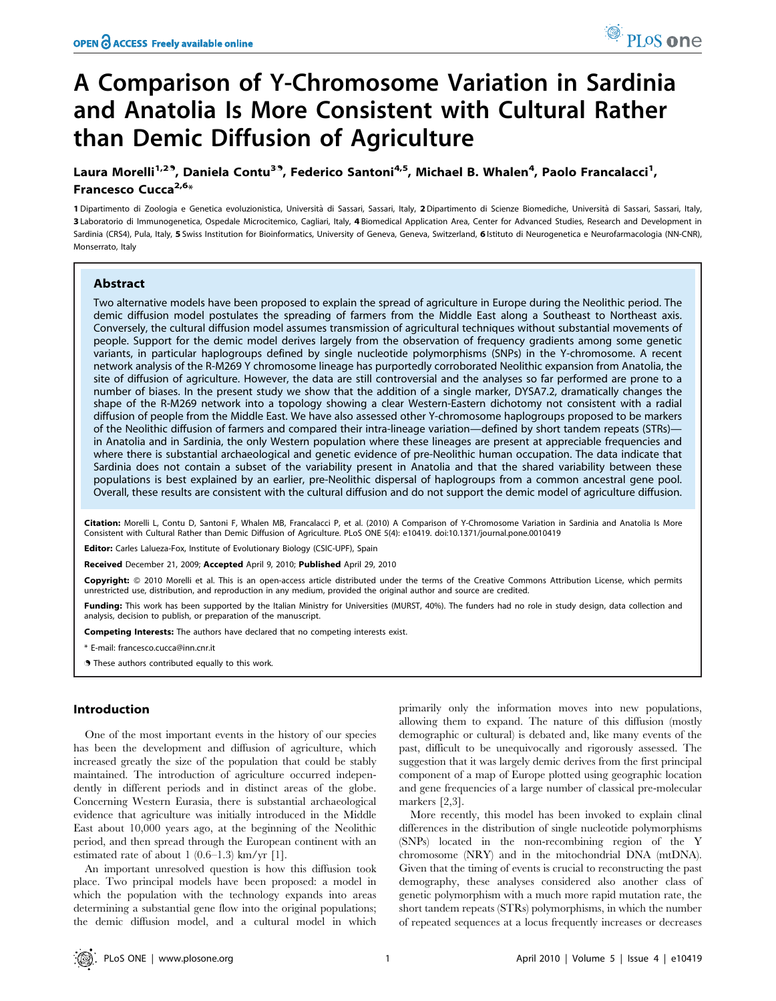# A Comparison of Y-Chromosome Variation in Sardinia and Anatolia Is More Consistent with Cultural Rather than Demic Diffusion of Agriculture

Laura Morelli<sup>1,29</sup>, Daniela Contu<sup>39</sup>, Federico Santoni<sup>4,5</sup>, Michael B. Whalen<sup>4</sup>, Paolo Francalacci<sup>1</sup>, Francesco Cucca<sup>2,6</sup>\*

1 Dipartimento di Zoologia e Genetica evoluzionistica, Università di Sassari, Sassari, Italy, 2 Dipartimento di Scienze Biomediche, Università di Sassari, Sassari, Italy, 3 Laboratorio di Immunogenetica, Ospedale Microcitemico, Cagliari, Italy, 4 Biomedical Application Area, Center for Advanced Studies, Research and Development in Sardinia (CRS4), Pula, Italy, 5 Swiss Institution for Bioinformatics, University of Geneva, Geneva, Switzerland, 6 Istituto di Neurogenetica e Neurofarmacologia (NN-CNR), Monserrato, Italy

## Abstract

Two alternative models have been proposed to explain the spread of agriculture in Europe during the Neolithic period. The demic diffusion model postulates the spreading of farmers from the Middle East along a Southeast to Northeast axis. Conversely, the cultural diffusion model assumes transmission of agricultural techniques without substantial movements of people. Support for the demic model derives largely from the observation of frequency gradients among some genetic variants, in particular haplogroups defined by single nucleotide polymorphisms (SNPs) in the Y-chromosome. A recent network analysis of the R-M269 Y chromosome lineage has purportedly corroborated Neolithic expansion from Anatolia, the site of diffusion of agriculture. However, the data are still controversial and the analyses so far performed are prone to a number of biases. In the present study we show that the addition of a single marker, DYSA7.2, dramatically changes the shape of the R-M269 network into a topology showing a clear Western-Eastern dichotomy not consistent with a radial diffusion of people from the Middle East. We have also assessed other Y-chromosome haplogroups proposed to be markers of the Neolithic diffusion of farmers and compared their intra-lineage variation—defined by short tandem repeats (STRs) in Anatolia and in Sardinia, the only Western population where these lineages are present at appreciable frequencies and where there is substantial archaeological and genetic evidence of pre-Neolithic human occupation. The data indicate that Sardinia does not contain a subset of the variability present in Anatolia and that the shared variability between these populations is best explained by an earlier, pre-Neolithic dispersal of haplogroups from a common ancestral gene pool. Overall, these results are consistent with the cultural diffusion and do not support the demic model of agriculture diffusion.

Citation: Morelli L, Contu D, Santoni F, Whalen MB, Francalacci P, et al. (2010) A Comparison of Y-Chromosome Variation in Sardinia and Anatolia Is More Consistent with Cultural Rather than Demic Diffusion of Agriculture. PLoS ONE 5(4): e10419. doi:10.1371/journal.pone.0010419

Editor: Carles Lalueza-Fox, Institute of Evolutionary Biology (CSIC-UPF), Spain

Received December 21, 2009; Accepted April 9, 2010; Published April 29, 2010

Copyright: © 2010 Morelli et al. This is an open-access article distributed under the terms of the Creative Commons Attribution License, which permits unrestricted use, distribution, and reproduction in any medium, provided the original author and source are credited.

Funding: This work has been supported by the Italian Ministry for Universities (MURST, 40%). The funders had no role in study design, data collection and analysis, decision to publish, or preparation of the manuscript.

Competing Interests: The authors have declared that no competing interests exist.

\* E-mail: francesco.cucca@inn.cnr.it

**.** These authors contributed equally to this work.

## Introduction

One of the most important events in the history of our species has been the development and diffusion of agriculture, which increased greatly the size of the population that could be stably maintained. The introduction of agriculture occurred independently in different periods and in distinct areas of the globe. Concerning Western Eurasia, there is substantial archaeological evidence that agriculture was initially introduced in the Middle East about 10,000 years ago, at the beginning of the Neolithic period, and then spread through the European continent with an estimated rate of about 1 (0.6–1.3) km/yr [1].

An important unresolved question is how this diffusion took place. Two principal models have been proposed: a model in which the population with the technology expands into areas determining a substantial gene flow into the original populations; the demic diffusion model, and a cultural model in which primarily only the information moves into new populations, allowing them to expand. The nature of this diffusion (mostly demographic or cultural) is debated and, like many events of the past, difficult to be unequivocally and rigorously assessed. The suggestion that it was largely demic derives from the first principal component of a map of Europe plotted using geographic location and gene frequencies of a large number of classical pre-molecular markers [2,3].

More recently, this model has been invoked to explain clinal differences in the distribution of single nucleotide polymorphisms (SNPs) located in the non-recombining region of the Y chromosome (NRY) and in the mitochondrial DNA (mtDNA). Given that the timing of events is crucial to reconstructing the past demography, these analyses considered also another class of genetic polymorphism with a much more rapid mutation rate, the short tandem repeats (STRs) polymorphisms, in which the number of repeated sequences at a locus frequently increases or decreases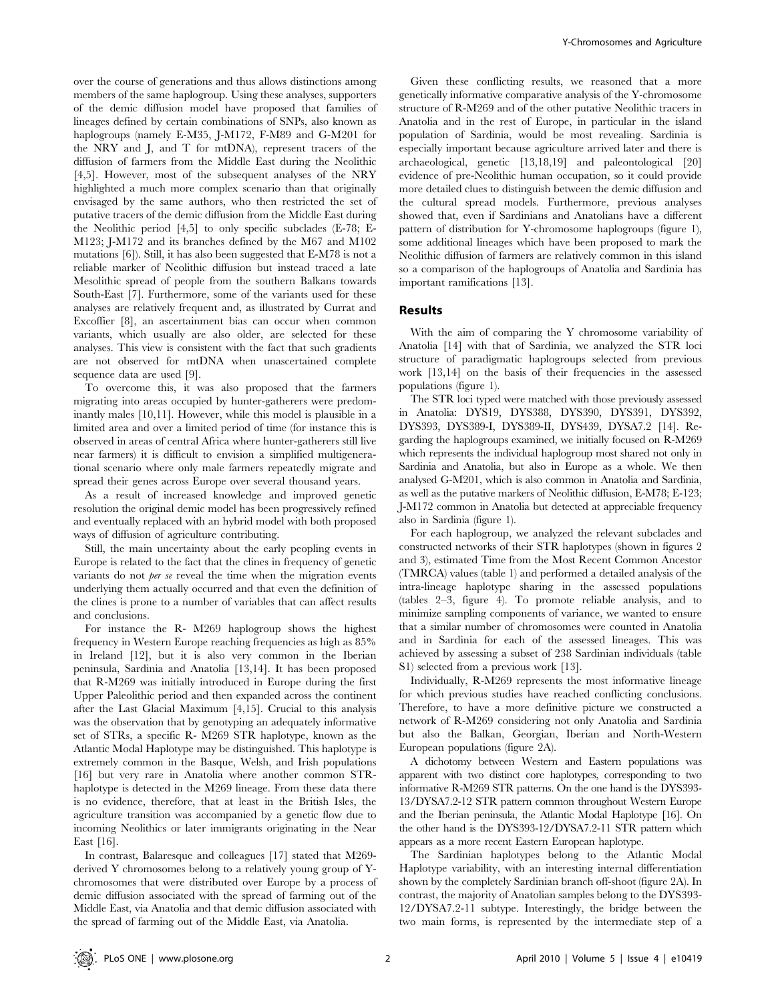over the course of generations and thus allows distinctions among members of the same haplogroup. Using these analyses, supporters of the demic diffusion model have proposed that families of lineages defined by certain combinations of SNPs, also known as haplogroups (namely E-M35, J-M172, F-M89 and G-M201 for the NRY and J, and T for mtDNA), represent tracers of the diffusion of farmers from the Middle East during the Neolithic [4,5]. However, most of the subsequent analyses of the NRY highlighted a much more complex scenario than that originally envisaged by the same authors, who then restricted the set of putative tracers of the demic diffusion from the Middle East during the Neolithic period [4,5] to only specific subclades (E-78; E-M123; J-M172 and its branches defined by the M67 and M102 mutations [6]). Still, it has also been suggested that E-M78 is not a reliable marker of Neolithic diffusion but instead traced a late Mesolithic spread of people from the southern Balkans towards South-East [7]. Furthermore, some of the variants used for these analyses are relatively frequent and, as illustrated by Currat and Excoffier [8], an ascertainment bias can occur when common variants, which usually are also older, are selected for these analyses. This view is consistent with the fact that such gradients are not observed for mtDNA when unascertained complete sequence data are used [9].

To overcome this, it was also proposed that the farmers migrating into areas occupied by hunter-gatherers were predominantly males [10,11]. However, while this model is plausible in a limited area and over a limited period of time (for instance this is observed in areas of central Africa where hunter-gatherers still live near farmers) it is difficult to envision a simplified multigenerational scenario where only male farmers repeatedly migrate and spread their genes across Europe over several thousand years.

As a result of increased knowledge and improved genetic resolution the original demic model has been progressively refined and eventually replaced with an hybrid model with both proposed ways of diffusion of agriculture contributing.

Still, the main uncertainty about the early peopling events in Europe is related to the fact that the clines in frequency of genetic variants do not *per se* reveal the time when the migration events underlying them actually occurred and that even the definition of the clines is prone to a number of variables that can affect results and conclusions.

For instance the R- M269 haplogroup shows the highest frequency in Western Europe reaching frequencies as high as 85% in Ireland [12], but it is also very common in the Iberian peninsula, Sardinia and Anatolia [13,14]. It has been proposed that R-M269 was initially introduced in Europe during the first Upper Paleolithic period and then expanded across the continent after the Last Glacial Maximum [4,15]. Crucial to this analysis was the observation that by genotyping an adequately informative set of STRs, a specific R- M269 STR haplotype, known as the Atlantic Modal Haplotype may be distinguished. This haplotype is extremely common in the Basque, Welsh, and Irish populations [16] but very rare in Anatolia where another common STRhaplotype is detected in the M269 lineage. From these data there is no evidence, therefore, that at least in the British Isles, the agriculture transition was accompanied by a genetic flow due to incoming Neolithics or later immigrants originating in the Near East [16].

In contrast, Balaresque and colleagues [17] stated that M269 derived Y chromosomes belong to a relatively young group of Ychromosomes that were distributed over Europe by a process of demic diffusion associated with the spread of farming out of the Middle East, via Anatolia and that demic diffusion associated with the spread of farming out of the Middle East, via Anatolia.

Given these conflicting results, we reasoned that a more genetically informative comparative analysis of the Y-chromosome structure of R-M269 and of the other putative Neolithic tracers in Anatolia and in the rest of Europe, in particular in the island population of Sardinia, would be most revealing. Sardinia is especially important because agriculture arrived later and there is archaeological, genetic [13,18,19] and paleontological [20] evidence of pre-Neolithic human occupation, so it could provide more detailed clues to distinguish between the demic diffusion and the cultural spread models. Furthermore, previous analyses showed that, even if Sardinians and Anatolians have a different pattern of distribution for Y-chromosome haplogroups (figure 1), some additional lineages which have been proposed to mark the Neolithic diffusion of farmers are relatively common in this island so a comparison of the haplogroups of Anatolia and Sardinia has important ramifications [13].

# Results

With the aim of comparing the Y chromosome variability of Anatolia [14] with that of Sardinia, we analyzed the STR loci structure of paradigmatic haplogroups selected from previous work [13,14] on the basis of their frequencies in the assessed populations (figure 1).

The STR loci typed were matched with those previously assessed in Anatolia: DYS19, DYS388, DYS390, DYS391, DYS392, DYS393, DYS389-I, DYS389-II, DYS439, DYSA7.2 [14]. Regarding the haplogroups examined, we initially focused on R-M269 which represents the individual haplogroup most shared not only in Sardinia and Anatolia, but also in Europe as a whole. We then analysed G-M201, which is also common in Anatolia and Sardinia, as well as the putative markers of Neolithic diffusion, E-M78; E-123; J-M172 common in Anatolia but detected at appreciable frequency also in Sardinia (figure 1).

For each haplogroup, we analyzed the relevant subclades and constructed networks of their STR haplotypes (shown in figures 2 and 3), estimated Time from the Most Recent Common Ancestor (TMRCA) values (table 1) and performed a detailed analysis of the intra-lineage haplotype sharing in the assessed populations (tables 2–3, figure 4). To promote reliable analysis, and to minimize sampling components of variance, we wanted to ensure that a similar number of chromosomes were counted in Anatolia and in Sardinia for each of the assessed lineages. This was achieved by assessing a subset of 238 Sardinian individuals (table S1) selected from a previous work [13].

Individually, R-M269 represents the most informative lineage for which previous studies have reached conflicting conclusions. Therefore, to have a more definitive picture we constructed a network of R-M269 considering not only Anatolia and Sardinia but also the Balkan, Georgian, Iberian and North-Western European populations (figure 2A).

A dichotomy between Western and Eastern populations was apparent with two distinct core haplotypes, corresponding to two informative R-M269 STR patterns. On the one hand is the DYS393- 13/DYSA7.2-12 STR pattern common throughout Western Europe and the Iberian peninsula, the Atlantic Modal Haplotype [16]. On the other hand is the DYS393-12/DYSA7.2-11 STR pattern which appears as a more recent Eastern European haplotype.

The Sardinian haplotypes belong to the Atlantic Modal Haplotype variability, with an interesting internal differentiation shown by the completely Sardinian branch off-shoot (figure 2A). In contrast, the majority of Anatolian samples belong to the DYS393- 12/DYSA7.2-11 subtype. Interestingly, the bridge between the two main forms, is represented by the intermediate step of a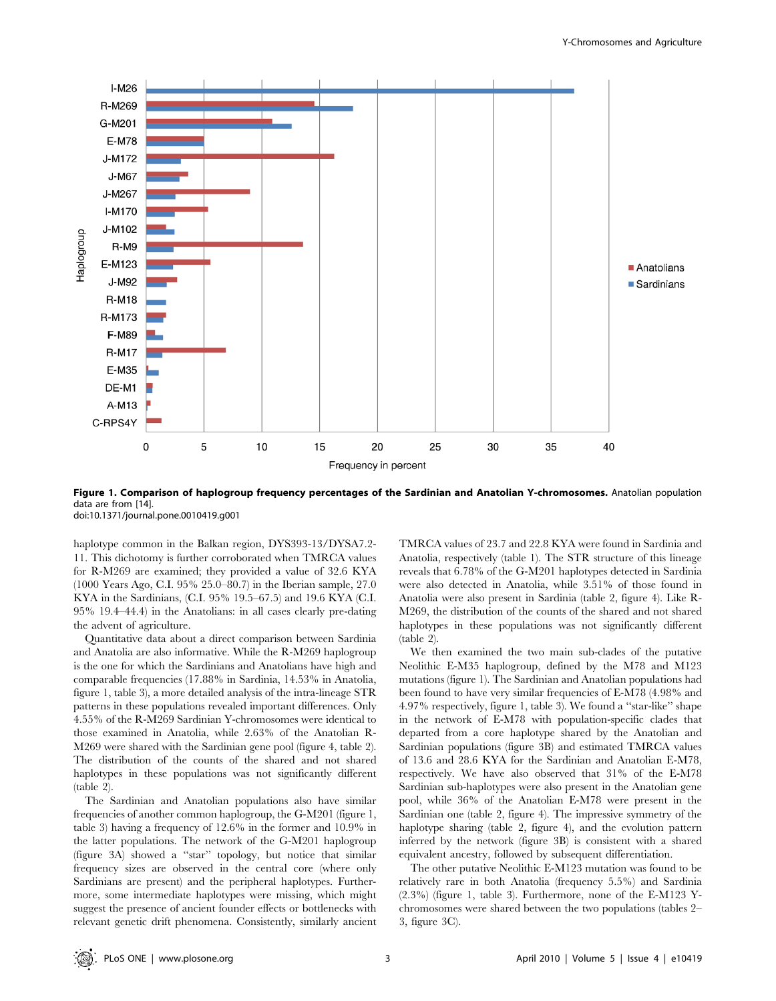

Figure 1. Comparison of haplogroup frequency percentages of the Sardinian and Anatolian Y-chromosomes. Anatolian population data are from [14]. doi:10.1371/journal.pone.0010419.g001

haplotype common in the Balkan region, DYS393-13/DYSA7.2- 11. This dichotomy is further corroborated when TMRCA values for R-M269 are examined; they provided a value of 32.6 KYA (1000 Years Ago, C.I. 95% 25.0–80.7) in the Iberian sample, 27.0 KYA in the Sardinians, (C.I. 95% 19.5–67.5) and 19.6 KYA (C.I. 95% 19.4–44.4) in the Anatolians: in all cases clearly pre-dating the advent of agriculture.

Quantitative data about a direct comparison between Sardinia and Anatolia are also informative. While the R-M269 haplogroup is the one for which the Sardinians and Anatolians have high and comparable frequencies (17.88% in Sardinia, 14.53% in Anatolia, figure 1, table 3), a more detailed analysis of the intra-lineage STR patterns in these populations revealed important differences. Only 4.55% of the R-M269 Sardinian Y-chromosomes were identical to those examined in Anatolia, while 2.63% of the Anatolian R-M269 were shared with the Sardinian gene pool (figure 4, table 2). The distribution of the counts of the shared and not shared haplotypes in these populations was not significantly different  $(table 2)$ .

The Sardinian and Anatolian populations also have similar frequencies of another common haplogroup, the G-M201 (figure 1, table 3) having a frequency of 12.6% in the former and 10.9% in the latter populations. The network of the G-M201 haplogroup (figure 3A) showed a ''star'' topology, but notice that similar frequency sizes are observed in the central core (where only Sardinians are present) and the peripheral haplotypes. Furthermore, some intermediate haplotypes were missing, which might suggest the presence of ancient founder effects or bottlenecks with relevant genetic drift phenomena. Consistently, similarly ancient

TMRCA values of 23.7 and 22.8 KYA were found in Sardinia and Anatolia, respectively (table 1). The STR structure of this lineage reveals that 6.78% of the G-M201 haplotypes detected in Sardinia were also detected in Anatolia, while 3.51% of those found in Anatolia were also present in Sardinia (table 2, figure 4). Like R-M269, the distribution of the counts of the shared and not shared haplotypes in these populations was not significantly different (table 2).

We then examined the two main sub-clades of the putative Neolithic E-M35 haplogroup, defined by the M78 and M123 mutations (figure 1). The Sardinian and Anatolian populations had been found to have very similar frequencies of E-M78 (4.98% and 4.97% respectively, figure 1, table 3). We found a ''star-like'' shape in the network of E-M78 with population-specific clades that departed from a core haplotype shared by the Anatolian and Sardinian populations (figure 3B) and estimated TMRCA values of 13.6 and 28.6 KYA for the Sardinian and Anatolian E-M78, respectively. We have also observed that 31% of the E-M78 Sardinian sub-haplotypes were also present in the Anatolian gene pool, while 36% of the Anatolian E-M78 were present in the Sardinian one (table 2, figure 4). The impressive symmetry of the haplotype sharing (table 2, figure 4), and the evolution pattern inferred by the network (figure 3B) is consistent with a shared equivalent ancestry, followed by subsequent differentiation.

The other putative Neolithic E-M123 mutation was found to be relatively rare in both Anatolia (frequency 5.5%) and Sardinia (2.3%) (figure 1, table 3). Furthermore, none of the E-M123 Ychromosomes were shared between the two populations (tables 2– 3, figure 3C).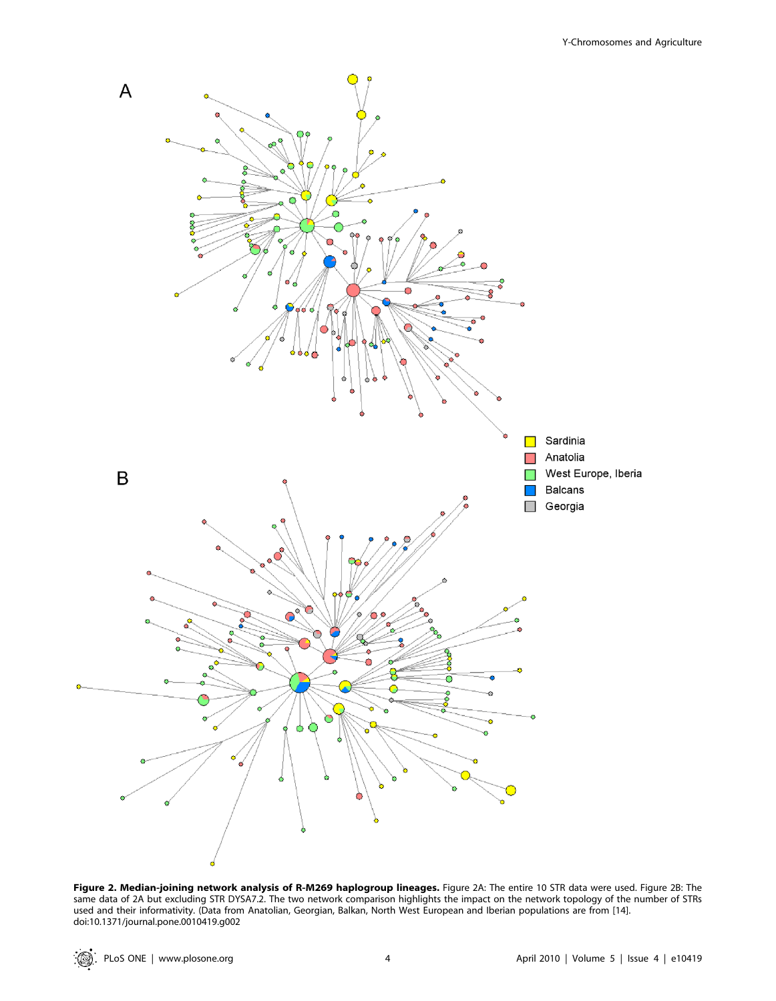

Figure 2. Median-joining network analysis of R-M269 haplogroup lineages. Figure 2A: The entire 10 STR data were used. Figure 2B: The same data of 2A but excluding STR DYSA7.2. The two network comparison highlights the impact on the network topology of the number of STRs used and their informativity. (Data from Anatolian, Georgian, Balkan, North West European and Iberian populations are from [14]. doi:10.1371/journal.pone.0010419.g002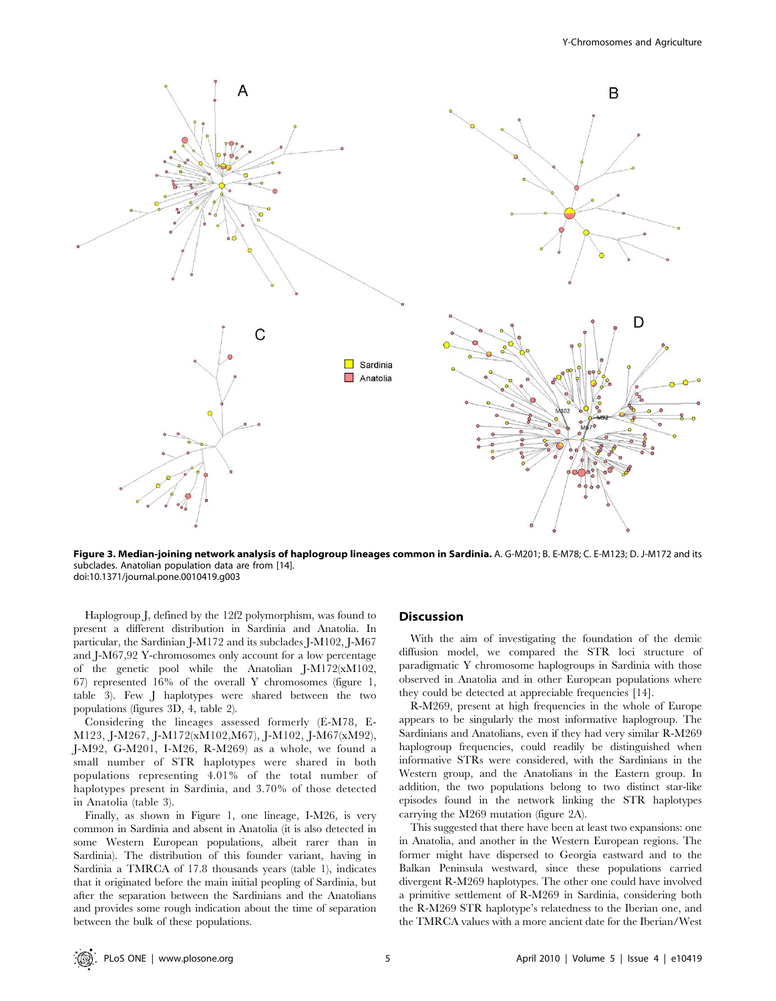

Figure 3. Median-joining network analysis of haplogroup lineages common in Sardinia. A. G-M201; B. E-M78; C. E-M123; D. J-M172 and its subclades. Anatolian population data are from [14]. doi:10.1371/journal.pone.0010419.g003

Haplogroup J, defined by the 12f2 polymorphism, was found to present a different distribution in Sardinia and Anatolia. In particular, the Sardinian J-M172 and its subclades J-M102, J-M67 and J-M67,92 Y-chromosomes only account for a low percentage of the genetic pool while the Anatolian J-M172(xM102, 67) represented 16% of the overall Y chromosomes (figure 1, table 3). Few J haplotypes were shared between the two populations (figures 3D, 4, table 2).

Considering the lineages assessed formerly (E-M78, E-M123, J-M267, J-M172(xM102,M67), J-M102, J-M67(xM92), J-M92, G-M201, I-M26, R-M269) as a whole, we found a small number of STR haplotypes were shared in both populations representing 4.01% of the total number of haplotypes present in Sardinia, and 3.70% of those detected in Anatolia (table 3).

Finally, as shown in Figure 1, one lineage, I-M26, is very common in Sardinia and absent in Anatolia (it is also detected in some Western European populations, albeit rarer than in Sardinia). The distribution of this founder variant, having in Sardinia a TMRCA of 17.8 thousands years (table 1), indicates that it originated before the main initial peopling of Sardinia, but after the separation between the Sardinians and the Anatolians and provides some rough indication about the time of separation between the bulk of these populations.

## **Discussion**

With the aim of investigating the foundation of the demic diffusion model, we compared the STR loci structure of paradigmatic Y chromosome haplogroups in Sardinia with those observed in Anatolia and in other European populations where they could be detected at appreciable frequencies [14].

R-M269, present at high frequencies in the whole of Europe appears to be singularly the most informative haplogroup. The Sardinians and Anatolians, even if they had very similar R-M269 haplogroup frequencies, could readily be distinguished when informative STRs were considered, with the Sardinians in the Western group, and the Anatolians in the Eastern group. In addition, the two populations belong to two distinct star-like episodes found in the network linking the STR haplotypes carrying the M269 mutation (figure 2A).

This suggested that there have been at least two expansions: one in Anatolia, and another in the Western European regions. The former might have dispersed to Georgia eastward and to the Balkan Peninsula westward, since these populations carried divergent R-M269 haplotypes. The other one could have involved a primitive settlement of R-M269 in Sardinia, considering both the R-M269 STR haplotype's relatedness to the Iberian one, and the TMRCA values with a more ancient date for the Iberian/West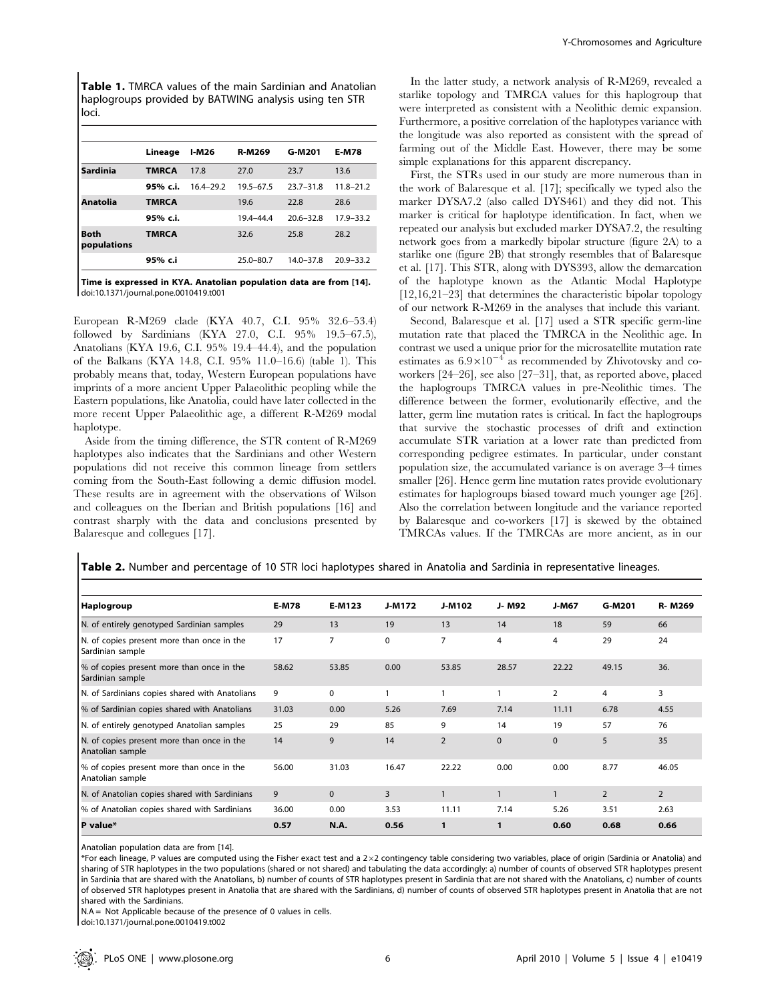Table 1. TMRCA values of the main Sardinian and Anatolian haplogroups provided by BATWING analysis using ten STR loci.

|                     | Lineage      | <b>I-M26</b>  | <b>R-M269</b> | G-M201        | <b>E-M78</b>  |
|---------------------|--------------|---------------|---------------|---------------|---------------|
| Sardinia            | <b>TMRCA</b> | 17.8          | 27.0          | 23.7          | 13.6          |
|                     | 95% c.i.     | $16.4 - 29.2$ | $19.5 - 67.5$ | $23.7 - 31.8$ | $11.8 - 21.2$ |
| Anatolia            | <b>TMRCA</b> |               | 19.6          | 22.8          | 28.6          |
|                     | 95% c.i.     |               | 19.4-44.4     | $20.6 - 32.8$ | 17.9-33.2     |
| Both<br>populations | <b>TMRCA</b> |               | 32.6          | 25.8          | 28.2          |
|                     | 95% c.i      |               | $25.0 - 80.7$ | $14.0 - 37.8$ | $20.9 - 33.2$ |

Time is expressed in KYA. Anatolian population data are from [14]. doi:10.1371/journal.pone.0010419.t001

European R-M269 clade (KYA 40.7, C.I. 95% 32.6–53.4) followed by Sardinians (KYA 27.0, C.I. 95% 19.5–67.5), Anatolians (KYA 19.6, C.I. 95% 19.4–44.4), and the population of the Balkans (KYA 14.8, C.I. 95% 11.0–16.6) (table 1). This probably means that, today, Western European populations have imprints of a more ancient Upper Palaeolithic peopling while the Eastern populations, like Anatolia, could have later collected in the more recent Upper Palaeolithic age, a different R-M269 modal haplotype.

Aside from the timing difference, the STR content of R-M269 haplotypes also indicates that the Sardinians and other Western populations did not receive this common lineage from settlers coming from the South-East following a demic diffusion model. These results are in agreement with the observations of Wilson and colleagues on the Iberian and British populations [16] and contrast sharply with the data and conclusions presented by Balaresque and collegues [17].

In the latter study, a network analysis of R-M269, revealed a starlike topology and TMRCA values for this haplogroup that were interpreted as consistent with a Neolithic demic expansion. Furthermore, a positive correlation of the haplotypes variance with the longitude was also reported as consistent with the spread of farming out of the Middle East. However, there may be some simple explanations for this apparent discrepancy.

First, the STRs used in our study are more numerous than in the work of Balaresque et al. [17]; specifically we typed also the marker DYSA7.2 (also called DYS461) and they did not. This marker is critical for haplotype identification. In fact, when we repeated our analysis but excluded marker DYSA7.2, the resulting network goes from a markedly bipolar structure (figure 2A) to a starlike one (figure 2B) that strongly resembles that of Balaresque et al. [17]. This STR, along with DYS393, allow the demarcation of the haplotype known as the Atlantic Modal Haplotype [12,16,21–23] that determines the characteristic bipolar topology of our network R-M269 in the analyses that include this variant.

Second, Balaresque et al. [17] used a STR specific germ-line mutation rate that placed the TMRCA in the Neolithic age. In contrast we used a unique prior for the microsatellite mutation rate estimates as  $6.9\times10^{-4}$  as recommended by Zhivotovsky and coworkers [24–26], see also [27–31], that, as reported above, placed the haplogroups TMRCA values in pre-Neolithic times. The difference between the former, evolutionarily effective, and the latter, germ line mutation rates is critical. In fact the haplogroups that survive the stochastic processes of drift and extinction accumulate STR variation at a lower rate than predicted from corresponding pedigree estimates. In particular, under constant population size, the accumulated variance is on average 3–4 times smaller [26]. Hence germ line mutation rates provide evolutionary estimates for haplogroups biased toward much younger age [26]. Also the correlation between longitude and the variance reported by Balaresque and co-workers [17] is skewed by the obtained TMRCAs values. If the TMRCAs are more ancient, as in our

Table 2. Number and percentage of 10 STR loci haplotypes shared in Anatolia and Sardinia in representative lineages.

| <b>Haplogroup</b>                                              | <b>E-M78</b> | E-M123         | J-M172 | J-M102         | J- M92       | J-M67          | G-M201         | R-M269         |
|----------------------------------------------------------------|--------------|----------------|--------|----------------|--------------|----------------|----------------|----------------|
| N. of entirely genotyped Sardinian samples                     | 29           | 13             | 19     | 13             | 14           | 18             | 59             | 66             |
| N. of copies present more than once in the<br>Sardinian sample | 17           | $\overline{7}$ | 0      | 7              | 4            | 4              | 29             | 24             |
| % of copies present more than once in the<br>Sardinian sample  | 58.62        | 53.85          | 0.00   | 53.85          | 28.57        | 22.22          | 49.15          | 36.            |
| N. of Sardinians copies shared with Anatolians                 | 9            | $\Omega$       |        |                |              | $\overline{2}$ | $\overline{4}$ | 3              |
| % of Sardinian copies shared with Anatolians                   | 31.03        | 0.00           | 5.26   | 7.69           | 7.14         | 11.11          | 6.78           | 4.55           |
| N. of entirely genotyped Anatolian samples                     | 25           | 29             | 85     | 9              | 14           | 19             | 57             | 76             |
| N. of copies present more than once in the<br>Anatolian sample | 14           | 9              | 14     | $\overline{2}$ | $\mathbf 0$  | $\Omega$       | 5              | 35             |
| % of copies present more than once in the<br>Anatolian sample  | 56.00        | 31.03          | 16.47  | 22.22          | 0.00         | 0.00           | 8.77           | 46.05          |
| N. of Anatolian copies shared with Sardinians                  | 9            | $\mathbf{0}$   | 3      |                | $\mathbf{1}$ | $\mathbf{1}$   | 2              | $\overline{2}$ |
| % of Anatolian copies shared with Sardinians                   | 36.00        | 0.00           | 3.53   | 11.11          | 7.14         | 5.26           | 3.51           | 2.63           |
| P value*                                                       | 0.57         | <b>N.A.</b>    | 0.56   |                | 1            | 0.60           | 0.68           | 0.66           |

Anatolian population data are from [14].

\*For each lineage, P values are computed using the Fisher exact test and a 262 contingency table considering two variables, place of origin (Sardinia or Anatolia) and sharing of STR haplotypes in the two populations (shared or not shared) and tabulating the data accordingly: a) number of counts of observed STR haplotypes present in Sardinia that are shared with the Anatolians, b) number of counts of STR haplotypes present in Sardinia that are not shared with the Anatolians, c) number of counts of observed STR haplotypes present in Anatolia that are shared with the Sardinians, d) number of counts of observed STR haplotypes present in Anatolia that are not shared with the Sardinians.

 $NA = Not$  Applicable because of the presence of 0 values in cells.

doi:10.1371/journal.pone.0010419.t002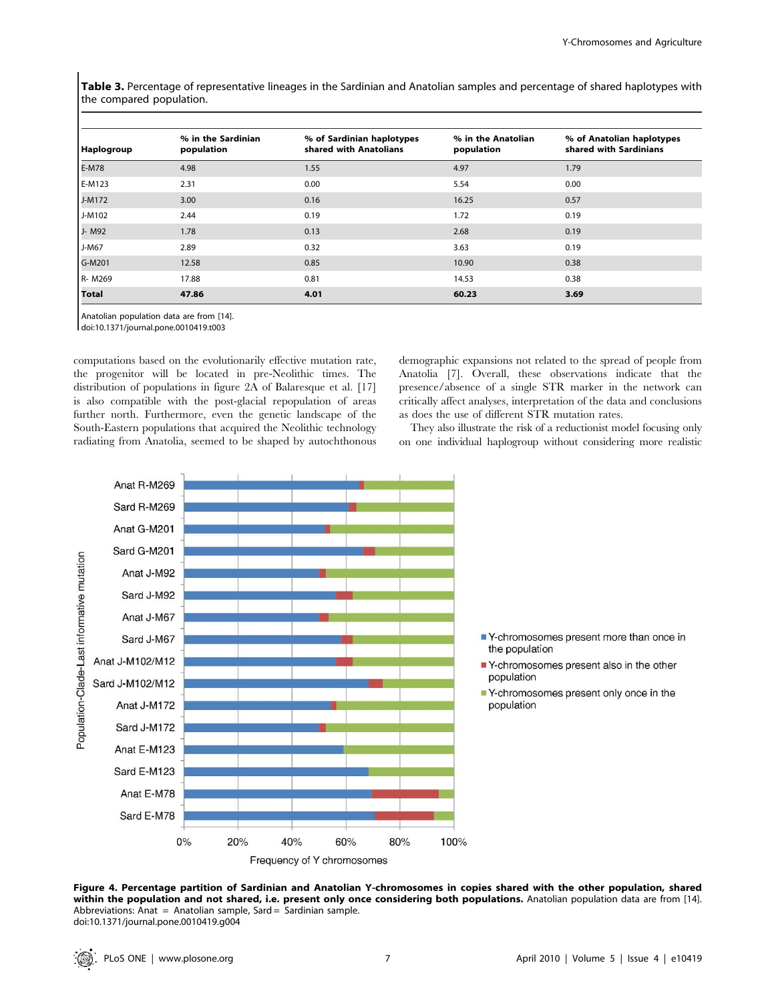Table 3. Percentage of representative lineages in the Sardinian and Anatolian samples and percentage of shared haplotypes with the compared population.

| Haplogroup   | % in the Sardinian<br>population | % of Sardinian haplotypes<br>shared with Anatolians | % in the Anatolian<br>population | % of Anatolian haplotypes<br>shared with Sardinians |
|--------------|----------------------------------|-----------------------------------------------------|----------------------------------|-----------------------------------------------------|
| E-M78        | 4.98                             | 1.55                                                | 4.97                             | 1.79                                                |
| E-M123       | 2.31                             | 0.00                                                | 5.54                             | 0.00                                                |
| J-M172       | 3.00                             | 0.16                                                | 16.25                            | 0.57                                                |
| J-M102       | 2.44                             | 0.19                                                | 1.72                             | 0.19                                                |
| J- M92       | 1.78                             | 0.13                                                | 2.68                             | 0.19                                                |
| $J-M67$      | 2.89                             | 0.32                                                | 3.63                             | 0.19                                                |
| G-M201       | 12.58                            | 0.85                                                | 10.90                            | 0.38                                                |
| R-M269       | 17.88                            | 0.81                                                | 14.53                            | 0.38                                                |
| <b>Total</b> | 47.86                            | 4.01                                                | 60.23                            | 3.69                                                |

Anatolian population data are from [14].

doi:10.1371/journal.pone.0010419.t003

computations based on the evolutionarily effective mutation rate, the progenitor will be located in pre-Neolithic times. The distribution of populations in figure 2A of Balaresque et al. [17] is also compatible with the post-glacial repopulation of areas further north. Furthermore, even the genetic landscape of the South-Eastern populations that acquired the Neolithic technology radiating from Anatolia, seemed to be shaped by autochthonous demographic expansions not related to the spread of people from Anatolia [7]. Overall, these observations indicate that the presence/absence of a single STR marker in the network can critically affect analyses, interpretation of the data and conclusions as does the use of different STR mutation rates.

They also illustrate the risk of a reductionist model focusing only on one individual haplogroup without considering more realistic



Figure 4. Percentage partition of Sardinian and Anatolian Y-chromosomes in copies shared with the other population, shared within the population and not shared, i.e. present only once considering both populations. Anatolian population data are from [14]. Abbreviations: Anat = Anatolian sample, Sard = Sardinian sample. doi:10.1371/journal.pone.0010419.g004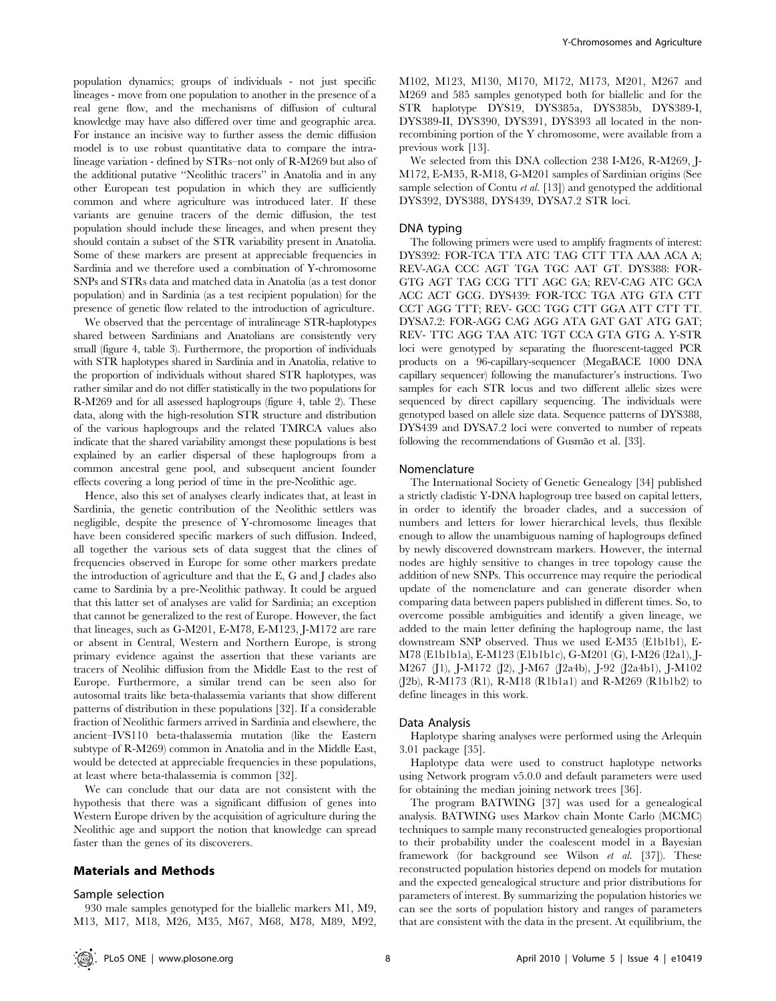population dynamics; groups of individuals - not just specific lineages - move from one population to another in the presence of a real gene flow, and the mechanisms of diffusion of cultural knowledge may have also differed over time and geographic area. For instance an incisive way to further assess the demic diffusion model is to use robust quantitative data to compare the intralineage variation - defined by STRs–not only of R-M269 but also of the additional putative ''Neolithic tracers'' in Anatolia and in any other European test population in which they are sufficiently common and where agriculture was introduced later. If these variants are genuine tracers of the demic diffusion, the test population should include these lineages, and when present they should contain a subset of the STR variability present in Anatolia. Some of these markers are present at appreciable frequencies in Sardinia and we therefore used a combination of Y-chromosome SNPs and STRs data and matched data in Anatolia (as a test donor population) and in Sardinia (as a test recipient population) for the presence of genetic flow related to the introduction of agriculture.

We observed that the percentage of intralineage STR-haplotypes shared between Sardinians and Anatolians are consistently very small (figure 4, table 3). Furthermore, the proportion of individuals with STR haplotypes shared in Sardinia and in Anatolia, relative to the proportion of individuals without shared STR haplotypes, was rather similar and do not differ statistically in the two populations for R-M269 and for all assessed haplogroups (figure 4, table 2). These data, along with the high-resolution STR structure and distribution of the various haplogroups and the related TMRCA values also indicate that the shared variability amongst these populations is best explained by an earlier dispersal of these haplogroups from a common ancestral gene pool, and subsequent ancient founder effects covering a long period of time in the pre-Neolithic age.

Hence, also this set of analyses clearly indicates that, at least in Sardinia, the genetic contribution of the Neolithic settlers was negligible, despite the presence of Y-chromosome lineages that have been considered specific markers of such diffusion. Indeed, all together the various sets of data suggest that the clines of frequencies observed in Europe for some other markers predate the introduction of agriculture and that the E, G and J clades also came to Sardinia by a pre-Neolithic pathway. It could be argued that this latter set of analyses are valid for Sardinia; an exception that cannot be generalized to the rest of Europe. However, the fact that lineages, such as G-M201, E-M78, E-M123, J-M172 are rare or absent in Central, Western and Northern Europe, is strong primary evidence against the assertion that these variants are tracers of Neolihic diffusion from the Middle East to the rest of Europe. Furthermore, a similar trend can be seen also for autosomal traits like beta-thalassemia variants that show different patterns of distribution in these populations [32]. If a considerable fraction of Neolithic farmers arrived in Sardinia and elsewhere, the ancient–IVS110 beta-thalassemia mutation (like the Eastern subtype of R-M269) common in Anatolia and in the Middle East, would be detected at appreciable frequencies in these populations, at least where beta-thalassemia is common [32].

We can conclude that our data are not consistent with the hypothesis that there was a significant diffusion of genes into Western Europe driven by the acquisition of agriculture during the Neolithic age and support the notion that knowledge can spread faster than the genes of its discoverers.

## Materials and Methods

#### Sample selection

M102, M123, M130, M170, M172, M173, M201, M267 and M269 and 585 samples genotyped both for biallelic and for the STR haplotype DYS19, DYS385a, DYS385b, DYS389-I, DYS389-II, DYS390, DYS391, DYS393 all located in the nonrecombining portion of the Y chromosome, were available from a previous work [13].

We selected from this DNA collection 238 I-M26, R-M269, J-M172, E-M35, R-M18, G-M201 samples of Sardinian origins (See sample selection of Contu *et al.* [13]) and genotyped the additional DYS392, DYS388, DYS439, DYSA7.2 STR loci.

# DNA typing

The following primers were used to amplify fragments of interest: DYS392: FOR-TCA TTA ATC TAG CTT TTA AAA ACA A; REV-AGA CCC AGT TGA TGC AAT GT. DYS388: FOR-GTG AGT TAG CCG TTT AGC GA; REV-CAG ATC GCA ACC ACT GCG. DYS439: FOR-TCC TGA ATG GTA CTT CCT AGG TTT; REV- GCC TGG CTT GGA ATT CTT TT. DYSA7.2: FOR-AGG CAG AGG ATA GAT GAT ATG GAT; REV- TTC AGG TAA ATC TGT CCA GTA GTG A. Y-STR loci were genotyped by separating the fluorescent-tagged PCR products on a 96-capillary-sequencer (MegaBACE 1000 DNA capillary sequencer) following the manufacturer's instructions. Two samples for each STR locus and two different allelic sizes were sequenced by direct capillary sequencing. The individuals were genotyped based on allele size data. Sequence patterns of DYS388, DYS439 and DYSA7.2 loci were converted to number of repeats following the recommendations of Gusmão et al. [33].

#### Nomenclature

The International Society of Genetic Genealogy [34] published a strictly cladistic Y-DNA haplogroup tree based on capital letters, in order to identify the broader clades, and a succession of numbers and letters for lower hierarchical levels, thus flexible enough to allow the unambiguous naming of haplogroups defined by newly discovered downstream markers. However, the internal nodes are highly sensitive to changes in tree topology cause the addition of new SNPs. This occurrence may require the periodical update of the nomenclature and can generate disorder when comparing data between papers published in different times. So, to overcome possible ambiguities and identify a given lineage, we added to the main letter defining the haplogroup name, the last downstream SNP observed. Thus we used E-M35 (E1b1b1), E-M78 (E1b1b1a), E-M123 (E1b1b1c), G-M201 (G), I-M26 (I2a1), J-M267 (J1), J-M172 (J2), J-M67 (J2a4b), J-92 (J2a4b1), J-M102 (J2b), R-M173 (R1), R-M18 (R1b1a1) and R-M269 (R1b1b2) to define lineages in this work.

## Data Analysis

Haplotype sharing analyses were performed using the Arlequin 3.01 package [35].

Haplotype data were used to construct haplotype networks using Network program v5.0.0 and default parameters were used for obtaining the median joining network trees [36].

The program BATWING [37] was used for a genealogical analysis. BATWING uses Markov chain Monte Carlo (MCMC) techniques to sample many reconstructed genealogies proportional to their probability under the coalescent model in a Bayesian framework (for background see Wilson et al. [37]). These reconstructed population histories depend on models for mutation and the expected genealogical structure and prior distributions for parameters of interest. By summarizing the population histories we can see the sorts of population history and ranges of parameters that are consistent with the data in the present. At equilibrium, the

930 male samples genotyped for the biallelic markers M1, M9, M13, M17, M18, M26, M35, M67, M68, M78, M89, M92,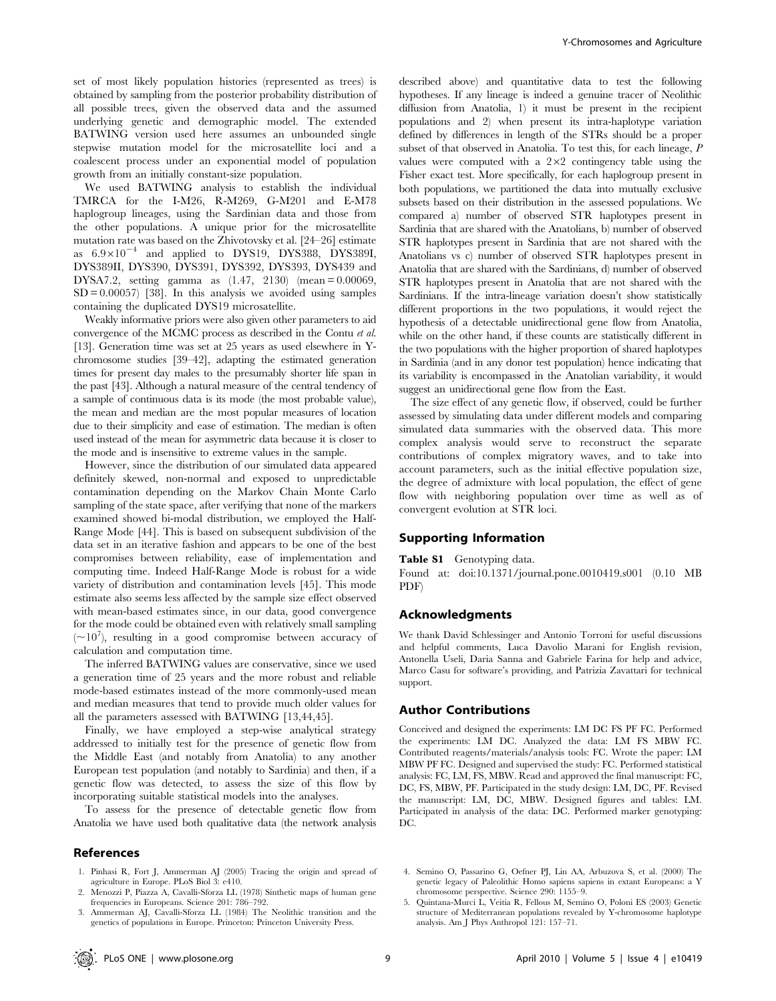set of most likely population histories (represented as trees) is obtained by sampling from the posterior probability distribution of all possible trees, given the observed data and the assumed underlying genetic and demographic model. The extended BATWING version used here assumes an unbounded single stepwise mutation model for the microsatellite loci and a coalescent process under an exponential model of population growth from an initially constant-size population.

We used BATWING analysis to establish the individual TMRCA for the I-M26, R-M269, G-M201 and E-M78 haplogroup lineages, using the Sardinian data and those from the other populations. A unique prior for the microsatellite mutation rate was based on the Zhivotovsky et al. [24–26] estimate as  $6.9\times10^{-4}$  and applied to DYS19, DYS388, DYS389I, DYS389II, DYS390, DYS391, DYS392, DYS393, DYS439 and DYSA7.2, setting gamma as (1.47, 2130) (mean = 0.00069,  $SD = 0.00057$  [38]. In this analysis we avoided using samples containing the duplicated DYS19 microsatellite.

Weakly informative priors were also given other parameters to aid convergence of the MCMC process as described in the Contu et al. [13]. Generation time was set at 25 years as used elsewhere in Ychromosome studies [39–42], adapting the estimated generation times for present day males to the presumably shorter life span in the past [43]. Although a natural measure of the central tendency of a sample of continuous data is its mode (the most probable value), the mean and median are the most popular measures of location due to their simplicity and ease of estimation. The median is often used instead of the mean for asymmetric data because it is closer to the mode and is insensitive to extreme values in the sample.

However, since the distribution of our simulated data appeared definitely skewed, non-normal and exposed to unpredictable contamination depending on the Markov Chain Monte Carlo sampling of the state space, after verifying that none of the markers examined showed bi-modal distribution, we employed the Half-Range Mode [44]. This is based on subsequent subdivision of the data set in an iterative fashion and appears to be one of the best compromises between reliability, ease of implementation and computing time. Indeed Half-Range Mode is robust for a wide variety of distribution and contamination levels [45]. This mode estimate also seems less affected by the sample size effect observed with mean-based estimates since, in our data, good convergence for the mode could be obtained even with relatively small sampling  $({\sim}10^7)$ , resulting in a good compromise between accuracy of calculation and computation time.

The inferred BATWING values are conservative, since we used a generation time of 25 years and the more robust and reliable mode-based estimates instead of the more commonly-used mean and median measures that tend to provide much older values for all the parameters assessed with BATWING [13,44,45].

Finally, we have employed a step-wise analytical strategy addressed to initially test for the presence of genetic flow from the Middle East (and notably from Anatolia) to any another European test population (and notably to Sardinia) and then, if a genetic flow was detected, to assess the size of this flow by incorporating suitable statistical models into the analyses.

To assess for the presence of detectable genetic flow from Anatolia we have used both qualitative data (the network analysis

#### References

suggest an unidirectional gene flow from the East.

The size effect of any genetic flow, if observed, could be further assessed by simulating data under different models and comparing simulated data summaries with the observed data. This more complex analysis would serve to reconstruct the separate contributions of complex migratory waves, and to take into account parameters, such as the initial effective population size, the degree of admixture with local population, the effect of gene flow with neighboring population over time as well as of convergent evolution at STR loci.

described above) and quantitative data to test the following hypotheses. If any lineage is indeed a genuine tracer of Neolithic diffusion from Anatolia, 1) it must be present in the recipient populations and 2) when present its intra-haplotype variation defined by differences in length of the STRs should be a proper subset of that observed in Anatolia. To test this, for each lineage, P values were computed with a  $2\times2$  contingency table using the Fisher exact test. More specifically, for each haplogroup present in both populations, we partitioned the data into mutually exclusive subsets based on their distribution in the assessed populations. We compared a) number of observed STR haplotypes present in Sardinia that are shared with the Anatolians, b) number of observed STR haplotypes present in Sardinia that are not shared with the Anatolians vs c) number of observed STR haplotypes present in Anatolia that are shared with the Sardinians, d) number of observed STR haplotypes present in Anatolia that are not shared with the Sardinians. If the intra-lineage variation doesn't show statistically different proportions in the two populations, it would reject the hypothesis of a detectable unidirectional gene flow from Anatolia, while on the other hand, if these counts are statistically different in the two populations with the higher proportion of shared haplotypes in Sardinia (and in any donor test population) hence indicating that its variability is encompassed in the Anatolian variability, it would

#### Supporting Information

Table S1 Genotyping data.

Found at: doi:10.1371/journal.pone.0010419.s001 (0.10 MB PDF)

## Acknowledgments

We thank David Schlessinger and Antonio Torroni for useful discussions and helpful comments, Luca Davolio Marani for English revision, Antonella Useli, Daria Sanna and Gabriele Farina for help and advice, Marco Casu for software's providing, and Patrizia Zavattari for technical support.

## Author Contributions

Conceived and designed the experiments: LM DC FS PF FC. Performed the experiments: LM DC. Analyzed the data: LM FS MBW FC. Contributed reagents/materials/analysis tools: FC. Wrote the paper: LM MBW PF FC. Designed and supervised the study: FC. Performed statistical analysis: FC, LM, FS, MBW. Read and approved the final manuscript: FC, DC, FS, MBW, PF. Participated in the study design: LM, DC, PF. Revised the manuscript: LM, DC, MBW. Designed figures and tables: LM. Participated in analysis of the data: DC. Performed marker genotyping: DC.

- 1. Pinhasi R, Fort J, Ammerman AJ (2005) Tracing the origin and spread of agriculture in Europe. PLoS Biol 3: e410.
- 2. Menozzi P, Piazza A, Cavalli-Sforza LL (1978) Sinthetic maps of human gene frequencies in Europeans. Science 201: 786–792.
- 3. Ammerman AJ, Cavalli-Sforza LL (1984) The Neolithic transition and the genetics of populations in Europe. Princeton: Princeton University Press.

<sup>5.</sup> Quintana-Murci L, Veitia R, Fellous M, Semino O, Poloni ES (2003) Genetic structure of Mediterranean populations revealed by Y-chromosome haplotype analysis. Am J Phys Anthropol 121: 157–71.